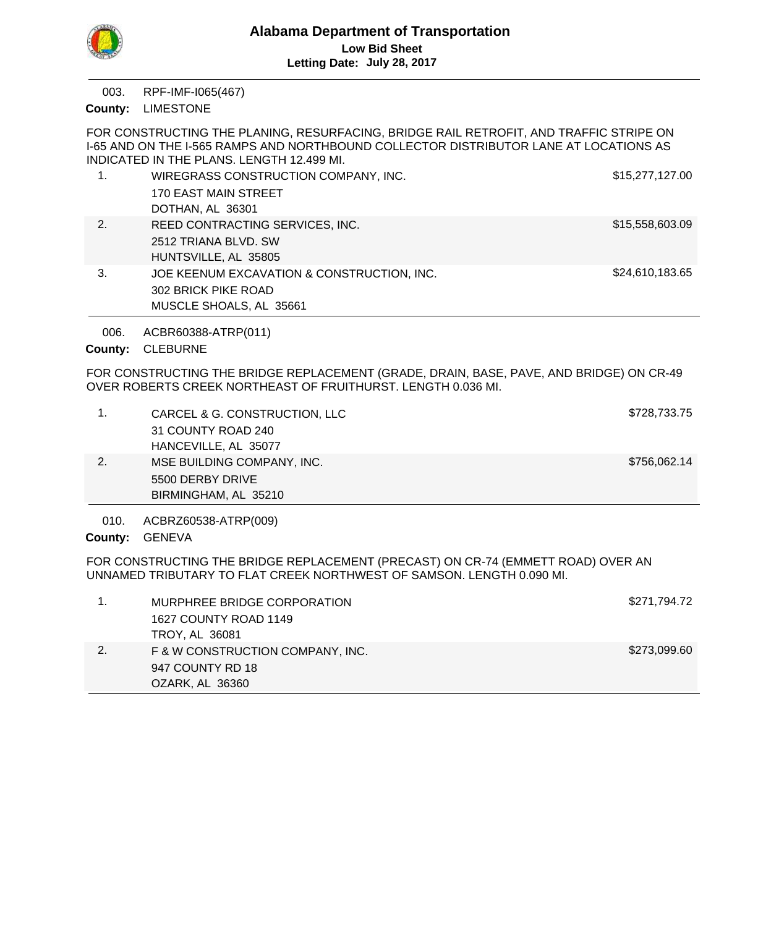

RPF-IMF-I065(467) 003.

County: LIMESTONE

FOR CONSTRUCTING THE PLANING, RESURFACING, BRIDGE RAIL RETROFIT, AND TRAFFIC STRIPE ON I-65 AND ON THE I-565 RAMPS AND NORTHBOUND COLLECTOR DISTRIBUTOR LANE AT LOCATIONS AS INDICATED IN THE PLANS. LENGTH 12.499 MI.

|    | WIREGRASS CONSTRUCTION COMPANY, INC.       | \$15,277,127.00 |
|----|--------------------------------------------|-----------------|
|    | 170 EAST MAIN STREET                       |                 |
|    | DOTHAN, AL 36301                           |                 |
| 2. | REED CONTRACTING SERVICES, INC.            | \$15,558,603.09 |
|    | 2512 TRIANA BLVD, SW                       |                 |
|    | HUNTSVILLE, AL 35805                       |                 |
| 3. | JOE KEENUM EXCAVATION & CONSTRUCTION, INC. | \$24,610,183.65 |
|    | 302 BRICK PIKE ROAD                        |                 |
|    | MUSCLE SHOALS, AL 35661                    |                 |

ACBR60388-ATRP(011) 006.

County: CLEBURNE

FOR CONSTRUCTING THE BRIDGE REPLACEMENT (GRADE, DRAIN, BASE, PAVE, AND BRIDGE) ON CR-49 OVER ROBERTS CREEK NORTHEAST OF FRUITHURST. LENGTH 0.036 MI.

|    | CARCEL & G. CONSTRUCTION, LLC | \$728,733.75 |
|----|-------------------------------|--------------|
|    | 31 COUNTY ROAD 240            |              |
|    | HANCEVILLE, AL 35077          |              |
| 2. | MSE BUILDING COMPANY, INC.    | \$756,062.14 |
|    | 5500 DERBY DRIVE              |              |
|    | BIRMINGHAM, AL 35210          |              |

ACBRZ60538-ATRP(009) 010.

County: GENEVA

FOR CONSTRUCTING THE BRIDGE REPLACEMENT (PRECAST) ON CR-74 (EMMETT ROAD) OVER AN UNNAMED TRIBUTARY TO FLAT CREEK NORTHWEST OF SAMSON. LENGTH 0.090 MI.

|               | MURPHREE BRIDGE CORPORATION      | \$271,794.72 |
|---------------|----------------------------------|--------------|
|               | 1627 COUNTY ROAD 1149            |              |
|               | TROY, AL 36081                   |              |
| <sup>2.</sup> | F & W CONSTRUCTION COMPANY, INC. | \$273,099.60 |
|               | 947 COUNTY RD 18                 |              |
|               | OZARK, AL 36360                  |              |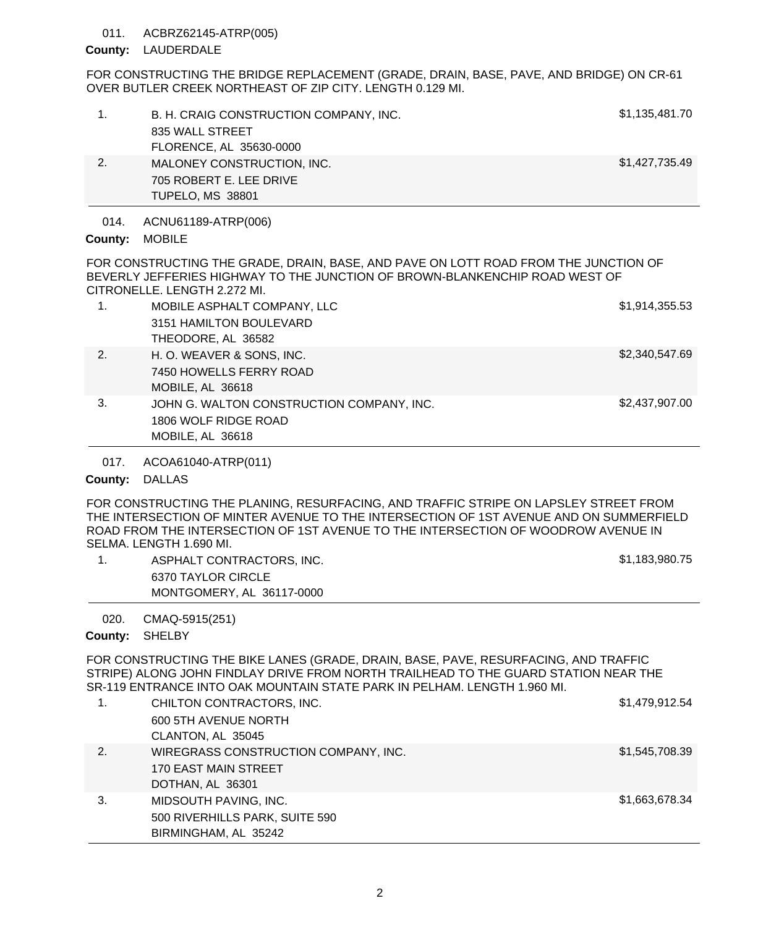## 011. ACBRZ62145-ATRP(005)

## County: LAUDERDALE

FOR CONSTRUCTING THE BRIDGE REPLACEMENT (GRADE, DRAIN, BASE, PAVE, AND BRIDGE) ON CR-61 OVER BUTLER CREEK NORTHEAST OF ZIP CITY. LENGTH 0.129 MI.

|    | B. H. CRAIG CONSTRUCTION COMPANY, INC.<br>835 WALL STREET<br>FLORENCE, AL 35630-0000 | \$1,135,481.70 |
|----|--------------------------------------------------------------------------------------|----------------|
| 2. | MALONEY CONSTRUCTION, INC.<br>705 ROBERT E. LEE DRIVE<br>TUPELO, MS 38801            | \$1,427,735.49 |
|    |                                                                                      |                |

ACNU61189-ATRP(006) 014.

## County: MOBILE

FOR CONSTRUCTING THE GRADE, DRAIN, BASE, AND PAVE ON LOTT ROAD FROM THE JUNCTION OF BEVERLY JEFFERIES HIGHWAY TO THE JUNCTION OF BROWN-BLANKENCHIP ROAD WEST OF CITRONELLE. LENGTH 2.272 MI.

| 1. | MOBILE ASPHALT COMPANY, LLC               | \$1,914,355.53 |
|----|-------------------------------------------|----------------|
|    | 3151 HAMILTON BOULEVARD                   |                |
|    | THEODORE, AL 36582                        |                |
| 2. | H. O. WEAVER & SONS, INC.                 | \$2,340,547.69 |
|    | 7450 HOWELLS FERRY ROAD                   |                |
|    | MOBILE, AL 36618                          |                |
| 3. | JOHN G. WALTON CONSTRUCTION COMPANY, INC. | \$2,437,907.00 |
|    | 1806 WOLF RIDGE ROAD                      |                |
|    | MOBILE, AL 36618                          |                |

ACOA61040-ATRP(011) 017.

# County: DALLAS

FOR CONSTRUCTING THE PLANING, RESURFACING, AND TRAFFIC STRIPE ON LAPSLEY STREET FROM THE INTERSECTION OF MINTER AVENUE TO THE INTERSECTION OF 1ST AVENUE AND ON SUMMERFIELD ROAD FROM THE INTERSECTION OF 1ST AVENUE TO THE INTERSECTION OF WOODROW AVENUE IN SELMA. LENGTH 1.690 MI.

| ASPHALT CONTRACTORS, INC. | \$1,183,980.75 |
|---------------------------|----------------|
| 6370 TAYLOR CIRCLE        |                |
| MONTGOMERY, AL 36117-0000 |                |

CMAQ-5915(251) 020.

# County: SHELBY

FOR CONSTRUCTING THE BIKE LANES (GRADE, DRAIN, BASE, PAVE, RESURFACING, AND TRAFFIC STRIPE) ALONG JOHN FINDLAY DRIVE FROM NORTH TRAILHEAD TO THE GUARD STATION NEAR THE SR-119 ENTRANCE INTO OAK MOUNTAIN STATE PARK IN PELHAM. LENGTH 1.960 MI.

| 1. | CHILTON CONTRACTORS, INC.<br>600 5TH AVENUE NORTH<br>CLANTON, AL 35045           | \$1,479,912.54 |
|----|----------------------------------------------------------------------------------|----------------|
| 2. | WIREGRASS CONSTRUCTION COMPANY, INC.<br>170 EAST MAIN STREET<br>DOTHAN, AL 36301 | \$1,545,708.39 |
| 3. | MIDSOUTH PAVING, INC.<br>500 RIVERHILLS PARK, SUITE 590<br>BIRMINGHAM, AL 35242  | \$1,663,678.34 |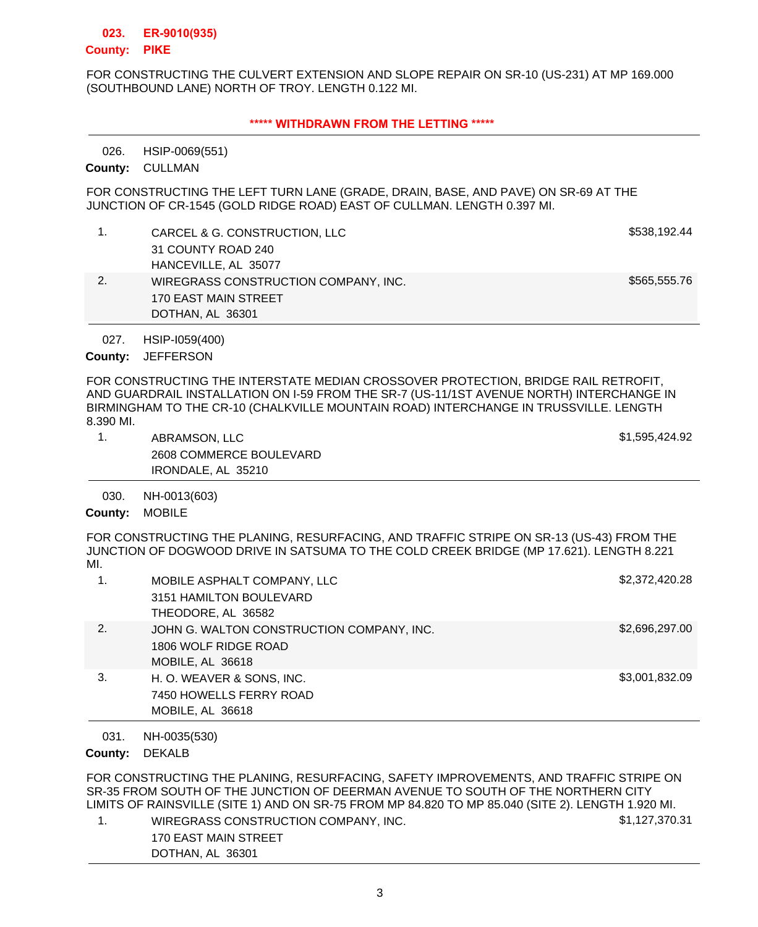#### **ER-9010(935) 023.**

### **PIKE County:**

FOR CONSTRUCTING THE CULVERT EXTENSION AND SLOPE REPAIR ON SR-10 (US-231) AT MP 169.000 (SOUTHBOUND LANE) NORTH OF TROY. LENGTH 0.122 MI.

### **\*\*\*\*\* WITHDRAWN FROM THE LETTING \*\*\*\*\***

HSIP-0069(551) 026.

County: CULLMAN

FOR CONSTRUCTING THE LEFT TURN LANE (GRADE, DRAIN, BASE, AND PAVE) ON SR-69 AT THE JUNCTION OF CR-1545 (GOLD RIDGE ROAD) EAST OF CULLMAN. LENGTH 0.397 MI.

- 1. CARCEL & G. CONSTRUCTION, LLC 6. THE STATE STATE STATE STATE STATE STATE STATE STATE STATE STATE STATE STATE STATE STATE STATE STATE STATE STATE STATE STATE STATE STATE STATE STATE STATE STATE STATE STATE STATE STATE ST 31 COUNTY ROAD 240 HANCEVILLE, AL 35077
- 2. WIREGRASS CONSTRUCTION COMPANY, INC. \$565,555.76 170 EAST MAIN STREET DOTHAN, AL 36301

HSIP-I059(400) 027.

County: JEFFERSON

FOR CONSTRUCTING THE INTERSTATE MEDIAN CROSSOVER PROTECTION, BRIDGE RAIL RETROFIT, AND GUARDRAIL INSTALLATION ON I-59 FROM THE SR-7 (US-11/1ST AVENUE NORTH) INTERCHANGE IN BIRMINGHAM TO THE CR-10 (CHALKVILLE MOUNTAIN ROAD) INTERCHANGE IN TRUSSVILLE. LENGTH 8.390 MI.

- 1. ABRAMSON, LLC \$1,595,424.92 2608 COMMERCE BOULEVARD IRONDALE, AL 35210
- NH-0013(603) 030.

County: MOBILE

FOR CONSTRUCTING THE PLANING, RESURFACING, AND TRAFFIC STRIPE ON SR-13 (US-43) FROM THE JUNCTION OF DOGWOOD DRIVE IN SATSUMA TO THE COLD CREEK BRIDGE (MP 17.621). LENGTH 8.221 MI.

|    | MOBILE ASPHALT COMPANY, LLC               | \$2,372,420.28 |
|----|-------------------------------------------|----------------|
|    | 3151 HAMILTON BOULEVARD                   |                |
|    | THEODORE, AL 36582                        |                |
| 2. | JOHN G. WALTON CONSTRUCTION COMPANY, INC. | \$2,696,297.00 |
|    | 1806 WOLF RIDGE ROAD                      |                |
|    | MOBILE, AL 36618                          |                |
| 3. | H. O. WEAVER & SONS, INC.                 | \$3,001,832.09 |
|    | 7450 HOWELLS FERRY ROAD                   |                |
|    | MOBILE, AL 36618                          |                |

NH-0035(530) 031.

### County: DEKALB

FOR CONSTRUCTING THE PLANING, RESURFACING, SAFETY IMPROVEMENTS, AND TRAFFIC STRIPE ON SR-35 FROM SOUTH OF THE JUNCTION OF DEERMAN AVENUE TO SOUTH OF THE NORTHERN CITY LIMITS OF RAINSVILLE (SITE 1) AND ON SR-75 FROM MP 84.820 TO MP 85.040 (SITE 2). LENGTH 1.920 MI.

1. WIREGRASS CONSTRUCTION COMPANY, INC. \$1,127,370.31 170 EAST MAIN STREET DOTHAN, AL 36301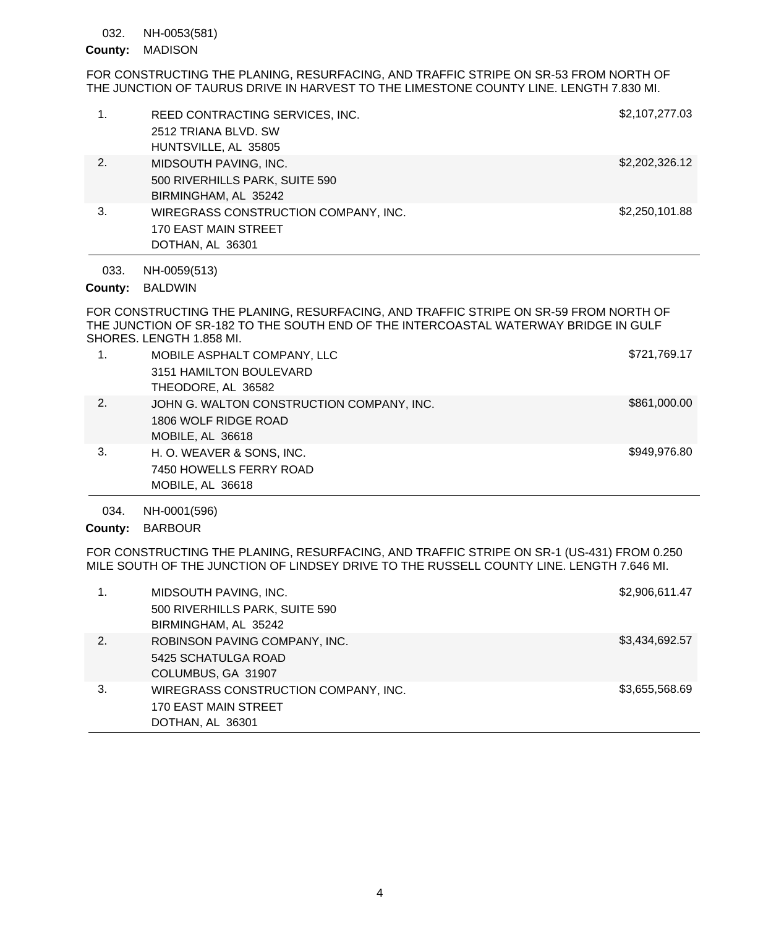#### NH-0053(581) 032.

## County: MADISON

FOR CONSTRUCTING THE PLANING, RESURFACING, AND TRAFFIC STRIPE ON SR-53 FROM NORTH OF THE JUNCTION OF TAURUS DRIVE IN HARVEST TO THE LIMESTONE COUNTY LINE. LENGTH 7.830 MI.

|              | REED CONTRACTING SERVICES, INC.<br>2512 TRIANA BLVD, SW                                 | \$2,107,277.03 |
|--------------|-----------------------------------------------------------------------------------------|----------------|
|              | HUNTSVILLE, AL 35805                                                                    |                |
| $\mathbf{2}$ | MIDSOUTH PAVING, INC.<br>500 RIVERHILLS PARK, SUITE 590<br>BIRMINGHAM, AL 35242         | \$2,202,326.12 |
| 3.           | WIREGRASS CONSTRUCTION COMPANY, INC.<br><b>170 EAST MAIN STREET</b><br>DOTHAN, AL 36301 | \$2,250,101.88 |
|              |                                                                                         |                |

NH-0059(513) 033.

County: BALDWIN

FOR CONSTRUCTING THE PLANING, RESURFACING, AND TRAFFIC STRIPE ON SR-59 FROM NORTH OF THE JUNCTION OF SR-182 TO THE SOUTH END OF THE INTERCOASTAL WATERWAY BRIDGE IN GULF SHORES. LENGTH 1.858 MI.

| 1. | MOBILE ASPHALT COMPANY, LLC<br>3151 HAMILTON BOULEVARD<br>THEODORE, AL 36582          | \$721,769.17 |
|----|---------------------------------------------------------------------------------------|--------------|
| 2. | JOHN G. WALTON CONSTRUCTION COMPANY, INC.<br>1806 WOLF RIDGE ROAD<br>MOBILE, AL 36618 | \$861,000.00 |
| 3. | H. O. WEAVER & SONS, INC.<br>7450 HOWELLS FERRY ROAD<br>MOBILE, AL 36618              | \$949,976.80 |

NH-0001(596) 034.

County: BARBOUR

FOR CONSTRUCTING THE PLANING, RESURFACING, AND TRAFFIC STRIPE ON SR-1 (US-431) FROM 0.250 MILE SOUTH OF THE JUNCTION OF LINDSEY DRIVE TO THE RUSSELL COUNTY LINE. LENGTH 7.646 MI.

|    | MIDSOUTH PAVING, INC.<br>500 RIVERHILLS PARK, SUITE 590                          | \$2,906,611.47 |
|----|----------------------------------------------------------------------------------|----------------|
|    | BIRMINGHAM, AL 35242                                                             |                |
| 2. | ROBINSON PAVING COMPANY, INC.<br>5425 SCHATULGA ROAD<br>COLUMBUS, GA 31907       | \$3,434,692.57 |
| 3. | WIREGRASS CONSTRUCTION COMPANY, INC.<br>170 EAST MAIN STREET<br>DOTHAN, AL 36301 | \$3,655,568.69 |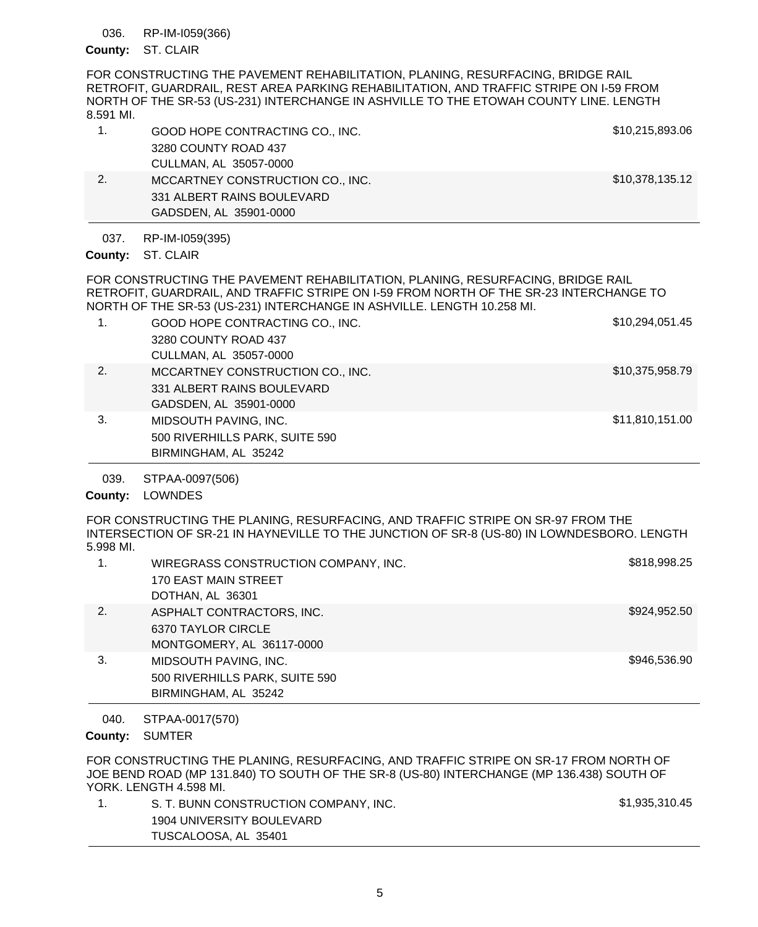#### RP-IM-I059(366) 036.

### County: ST. CLAIR

FOR CONSTRUCTING THE PAVEMENT REHABILITATION, PLANING, RESURFACING, BRIDGE RAIL RETROFIT, GUARDRAIL, REST AREA PARKING REHABILITATION, AND TRAFFIC STRIPE ON I-59 FROM NORTH OF THE SR-53 (US-231) INTERCHANGE IN ASHVILLE TO THE ETOWAH COUNTY LINE. LENGTH 8.591 MI.

| GOOD HOPE CONTRACTING CO., INC.  | \$10,215,893.06 |
|----------------------------------|-----------------|
| 3280 COUNTY ROAD 437             |                 |
| CULLMAN, AL 35057-0000           |                 |
| MCCARTNEY CONSTRUCTION CO., INC. | \$10,378,135.12 |
| 331 ALBERT RAINS BOULEVARD       |                 |

RP-IM-I059(395) 037.

GADSDEN, AL 35901-0000

500 RIVERHILLS PARK, SUITE 590

BIRMINGHAM, AL 35242

County: ST. CLAIR

FOR CONSTRUCTING THE PAVEMENT REHABILITATION, PLANING, RESURFACING, BRIDGE RAIL RETROFIT, GUARDRAIL, AND TRAFFIC STRIPE ON I-59 FROM NORTH OF THE SR-23 INTERCHANGE TO NORTH OF THE SR-53 (US-231) INTERCHANGE IN ASHVILLE. LENGTH 10.258 MI.

| 1. | GOOD HOPE CONTRACTING CO., INC.  | \$10,294,051.45 |
|----|----------------------------------|-----------------|
|    | 3280 COUNTY ROAD 437             |                 |
|    | CULLMAN, AL 35057-0000           |                 |
| 2. | MCCARTNEY CONSTRUCTION CO., INC. | \$10,375,958.79 |
|    | 331 ALBERT RAINS BOULEVARD       |                 |
|    | GADSDEN, AL 35901-0000           |                 |
| 3. | MIDSOUTH PAVING, INC.            | \$11,810,151.00 |
|    |                                  |                 |

#### STPAA-0097(506) 039.

# County: LOWNDES

FOR CONSTRUCTING THE PLANING, RESURFACING, AND TRAFFIC STRIPE ON SR-97 FROM THE INTERSECTION OF SR-21 IN HAYNEVILLE TO THE JUNCTION OF SR-8 (US-80) IN LOWNDESBORO. LENGTH 5.998 MI.

|    | WIREGRASS CONSTRUCTION COMPANY, INC. | \$818,998.25 |
|----|--------------------------------------|--------------|
|    | <b>170 EAST MAIN STREET</b>          |              |
|    | DOTHAN, AL 36301                     |              |
| 2. | ASPHALT CONTRACTORS, INC.            | \$924,952.50 |
|    | 6370 TAYLOR CIRCLE                   |              |
|    | MONTGOMERY, AL 36117-0000            |              |
| 3. | MIDSOUTH PAVING, INC.                | \$946,536.90 |
|    | 500 RIVERHILLS PARK, SUITE 590       |              |
|    | BIRMINGHAM, AL 35242                 |              |

#### STPAA-0017(570) 040.

## County: SUMTER

FOR CONSTRUCTING THE PLANING, RESURFACING, AND TRAFFIC STRIPE ON SR-17 FROM NORTH OF JOE BEND ROAD (MP 131.840) TO SOUTH OF THE SR-8 (US-80) INTERCHANGE (MP 136.438) SOUTH OF YORK. LENGTH 4.598 MI.

| S. T. BUNN CONSTRUCTION COMPANY, INC. | \$1,935,310.45 |
|---------------------------------------|----------------|
| 1904 UNIVERSITY BOULEVARD             |                |
| TUSCALOOSA, AL 35401                  |                |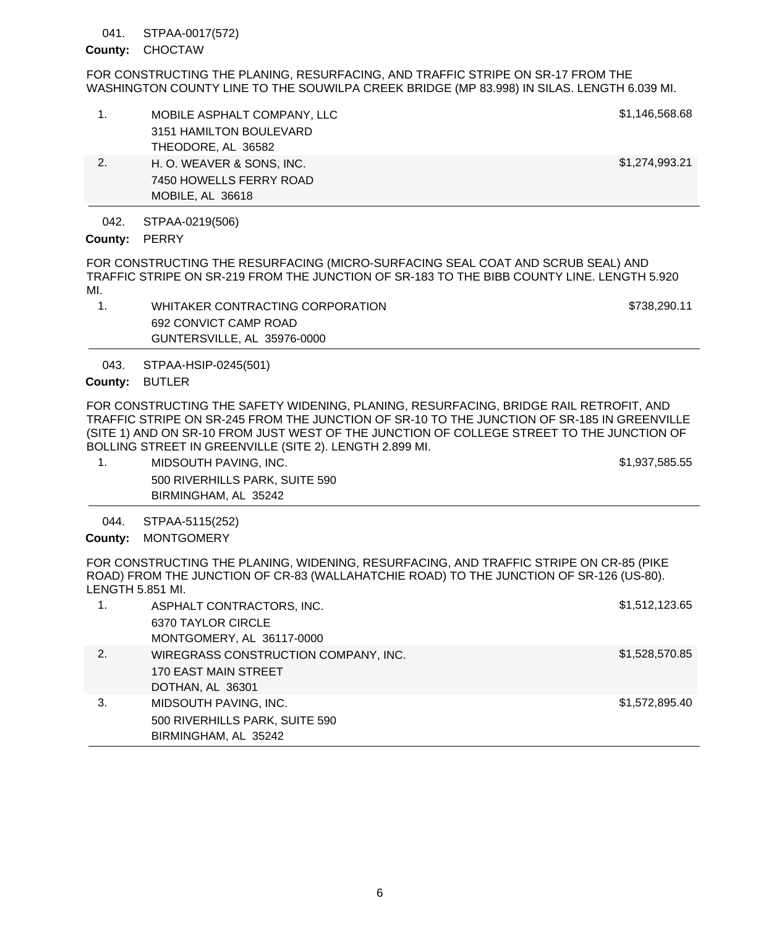#### STPAA-0017(572) 041.

## County: CHOCTAW

FOR CONSTRUCTING THE PLANING, RESURFACING, AND TRAFFIC STRIPE ON SR-17 FROM THE WASHINGTON COUNTY LINE TO THE SOUWILPA CREEK BRIDGE (MP 83.998) IN SILAS. LENGTH 6.039 MI.

|    | MOBILE ASPHALT COMPANY, LLC<br>3151 HAMILTON BOULEVARD<br>THEODORE, AL 36582 | \$1,146,568.68 |
|----|------------------------------------------------------------------------------|----------------|
| 2. | H. O. WEAVER & SONS, INC.<br>7450 HOWELLS FERRY ROAD<br>MOBILE, AL 36618     | \$1,274,993.21 |

STPAA-0219(506) 042.

## County: PERRY

FOR CONSTRUCTING THE RESURFACING (MICRO-SURFACING SEAL COAT AND SCRUB SEAL) AND TRAFFIC STRIPE ON SR-219 FROM THE JUNCTION OF SR-183 TO THE BIBB COUNTY LINE. LENGTH 5.920 MI.

| WHITAKER CONTRACTING CORPORATION | \$738.290.11 |
|----------------------------------|--------------|
| 692 CONVICT CAMP ROAD            |              |
| GUNTERSVILLE, AL 35976-0000      |              |

STPAA-HSIP-0245(501) 043.

## County: BUTLER

FOR CONSTRUCTING THE SAFETY WIDENING, PLANING, RESURFACING, BRIDGE RAIL RETROFIT, AND TRAFFIC STRIPE ON SR-245 FROM THE JUNCTION OF SR-10 TO THE JUNCTION OF SR-185 IN GREENVILLE (SITE 1) AND ON SR-10 FROM JUST WEST OF THE JUNCTION OF COLLEGE STREET TO THE JUNCTION OF BOLLING STREET IN GREENVILLE (SITE 2). LENGTH 2.899 MI.

1. MIDSOUTH PAVING, INC. **\$1,937,585.55** 500 RIVERHILLS PARK, SUITE 590 BIRMINGHAM, AL 35242

STPAA-5115(252) 044.

County: MONTGOMERY

FOR CONSTRUCTING THE PLANING, WIDENING, RESURFACING, AND TRAFFIC STRIPE ON CR-85 (PIKE ROAD) FROM THE JUNCTION OF CR-83 (WALLAHATCHIE ROAD) TO THE JUNCTION OF SR-126 (US-80). LENGTH 5.851 MI.

| 1. | ASPHALT CONTRACTORS, INC.            | \$1,512,123.65 |
|----|--------------------------------------|----------------|
|    | 6370 TAYLOR CIRCLE                   |                |
|    | MONTGOMERY, AL 36117-0000            |                |
| 2. | WIREGRASS CONSTRUCTION COMPANY, INC. | \$1,528,570.85 |
|    | 170 EAST MAIN STREET                 |                |
|    | DOTHAN, AL 36301                     |                |
| 3. | MIDSOUTH PAVING, INC.                | \$1,572,895.40 |
|    | 500 RIVERHILLS PARK, SUITE 590       |                |
|    | BIRMINGHAM, AL 35242                 |                |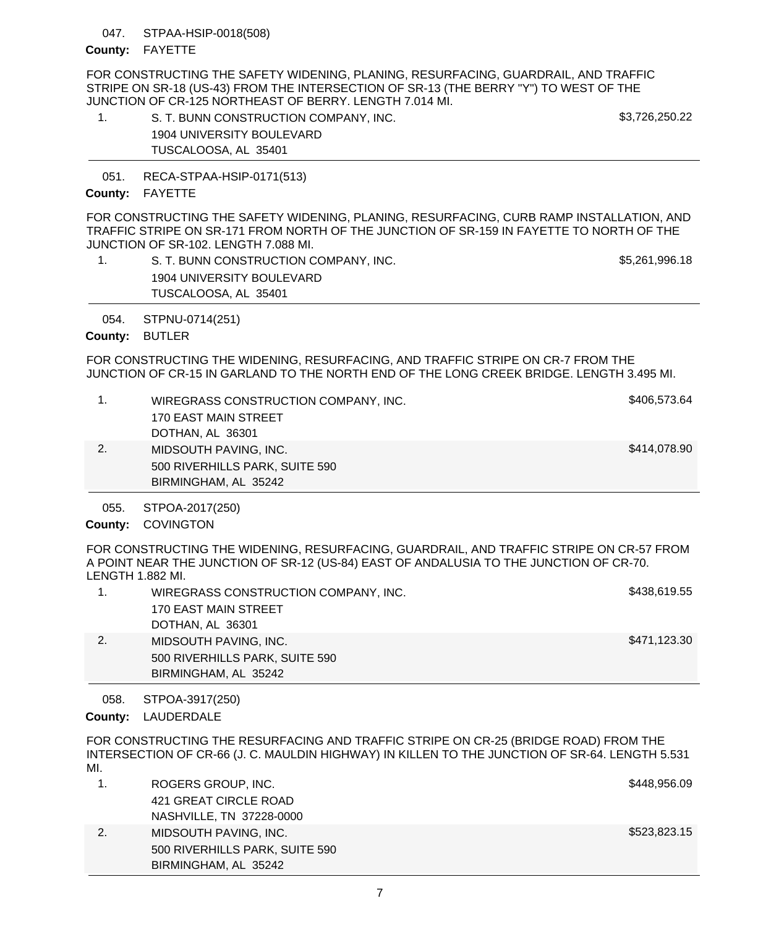#### STPAA-HSIP-0018(508) 047.

### County: FAYETTE

FOR CONSTRUCTING THE SAFETY WIDENING, PLANING, RESURFACING, GUARDRAIL, AND TRAFFIC STRIPE ON SR-18 (US-43) FROM THE INTERSECTION OF SR-13 (THE BERRY "Y") TO WEST OF THE JUNCTION OF CR-125 NORTHEAST OF BERRY. LENGTH 7.014 MI.

| S. T. BUNN CONSTRUCTION COMPANY, INC. | \$3,726,250.22 |
|---------------------------------------|----------------|
| 1904 UNIVERSITY BOULEVARD             |                |
| TUSCALOOSA, AL 35401                  |                |

RECA-STPAA-HSIP-0171(513) 051.

## County: FAYETTE

FOR CONSTRUCTING THE SAFETY WIDENING, PLANING, RESURFACING, CURB RAMP INSTALLATION, AND TRAFFIC STRIPE ON SR-171 FROM NORTH OF THE JUNCTION OF SR-159 IN FAYETTE TO NORTH OF THE JUNCTION OF SR-102. LENGTH 7.088 MI.

1. S. T. BUNN CONSTRUCTION COMPANY, INC.  $$5,261,996.18$ 1904 UNIVERSITY BOULEVARD TUSCALOOSA, AL 35401

STPNU-0714(251) 054.

County: BUTLER

FOR CONSTRUCTING THE WIDENING, RESURFACING, AND TRAFFIC STRIPE ON CR-7 FROM THE JUNCTION OF CR-15 IN GARLAND TO THE NORTH END OF THE LONG CREEK BRIDGE. LENGTH 3.495 MI.

|    | BIRMINGHAM, AL 35242                 |              |
|----|--------------------------------------|--------------|
|    | 500 RIVERHILLS PARK, SUITE 590       |              |
| 2. | MIDSOUTH PAVING, INC.                | \$414,078.90 |
|    | DOTHAN, AL 36301                     |              |
|    | 170 EAST MAIN STREET                 |              |
|    | WIREGRASS CONSTRUCTION COMPANY, INC. | \$406,573.64 |

STPOA-2017(250) 055.

County: COVINGTON

FOR CONSTRUCTING THE WIDENING, RESURFACING, GUARDRAIL, AND TRAFFIC STRIPE ON CR-57 FROM A POINT NEAR THE JUNCTION OF SR-12 (US-84) EAST OF ANDALUSIA TO THE JUNCTION OF CR-70. LENGTH 1.882 MI.

| WIREGRASS CONSTRUCTION COMPANY, INC. | \$438,619.55 |
|--------------------------------------|--------------|
| 170 EAST MAIN STREET                 |              |
| DOTHAN, AL 36301                     |              |
| MIDSOUTH PAVING, INC.                | \$471,123.30 |
| 500 RIVERHILLS PARK, SUITE 590       |              |
| BIRMINGHAM, AL 35242                 |              |

STPOA-3917(250) 058.

County: LAUDERDALE

FOR CONSTRUCTING THE RESURFACING AND TRAFFIC STRIPE ON CR-25 (BRIDGE ROAD) FROM THE INTERSECTION OF CR-66 (J. C. MAULDIN HIGHWAY) IN KILLEN TO THE JUNCTION OF SR-64. LENGTH 5.531 MI.

|    | ROGERS GROUP, INC.             | \$448,956.09 |
|----|--------------------------------|--------------|
|    | 421 GREAT CIRCLE ROAD          |              |
|    | NASHVILLE, TN 37228-0000       |              |
| 2. | MIDSOUTH PAVING, INC.          | \$523,823.15 |
|    | 500 RIVERHILLS PARK, SUITE 590 |              |
|    | BIRMINGHAM, AL 35242           |              |